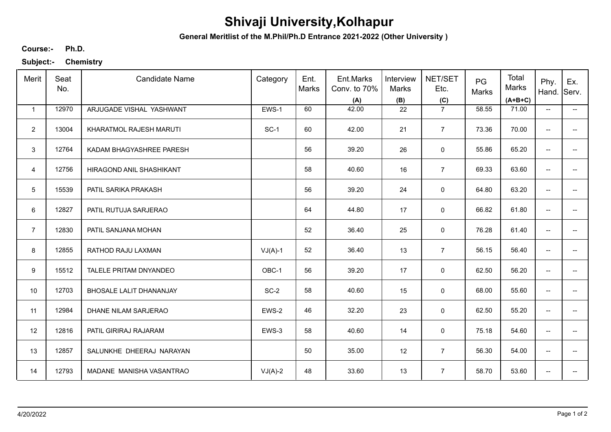## **Shivaji University,Kolhapur**

**General Meritlist of the M.Phil/Ph.D Entrance 2021-2022 (Other University )**

**Ph.D. Course:-**

**Subject:- Chemistry**

| Merit          | Seat<br>No. | <b>Candidate Name</b>    | Category  | Ent.<br>Marks | Ent.Marks<br>Conv. to 70%<br>(A) | Interview<br>Marks<br>(B) | NET/SET<br>Etc.<br>(C) | PG<br>Marks | Total<br>Marks<br>$(A+B+C)$ | Phy.<br>Hand.            | Ex.<br>Serv.             |
|----------------|-------------|--------------------------|-----------|---------------|----------------------------------|---------------------------|------------------------|-------------|-----------------------------|--------------------------|--------------------------|
| $\mathbf{1}$   | 12970       | ARJUGADE VISHAL YASHWANT | EWS-1     | 60            | 42.00                            | 22                        | $\overline{7}$         | 58.55       | 71.00                       | $\overline{\phantom{a}}$ | −−                       |
| $\overline{2}$ | 13004       | KHARATMOL RAJESH MARUTI  | $SC-1$    | 60            | 42.00                            | 21                        | $\overline{7}$         | 73.36       | 70.00                       | --                       |                          |
| 3              | 12764       | KADAM BHAGYASHREE PARESH |           | 56            | 39.20                            | 26                        | $\mathsf 0$            | 55.86       | 65.20                       | $\overline{\phantom{a}}$ | $\qquad \qquad -$        |
| $\overline{4}$ | 12756       | HIRAGOND ANIL SHASHIKANT |           | 58            | 40.60                            | 16                        | $\overline{7}$         | 69.33       | 63.60                       | $\overline{\phantom{a}}$ | $\overline{\phantom{a}}$ |
| 5              | 15539       | PATIL SARIKA PRAKASH     |           | 56            | 39.20                            | 24                        | 0                      | 64.80       | 63.20                       | $\overline{\phantom{a}}$ | $\overline{\phantom{a}}$ |
| 6              | 12827       | PATIL RUTUJA SARJERAO    |           | 64            | 44.80                            | 17                        | $\mathbf 0$            | 66.82       | 61.80                       | $\overline{\phantom{m}}$ | $\overline{\phantom{a}}$ |
| $\overline{7}$ | 12830       | PATIL SANJANA MOHAN      |           | 52            | 36.40                            | 25                        | 0                      | 76.28       | 61.40                       | $\overline{\phantom{a}}$ |                          |
| 8              | 12855       | RATHOD RAJU LAXMAN       | $VJ(A)-1$ | 52            | 36.40                            | 13                        | $\overline{7}$         | 56.15       | 56.40                       | $\overline{\phantom{m}}$ |                          |
| 9              | 15512       | TALELE PRITAM DNYANDEO   | OBC-1     | 56            | 39.20                            | 17                        | 0                      | 62.50       | 56.20                       | $\overline{\phantom{a}}$ |                          |
| 10             | 12703       | BHOSALE LALIT DHANANJAY  | $SC-2$    | 58            | 40.60                            | 15                        | $\mathsf 0$            | 68.00       | 55.60                       | $\overline{\phantom{a}}$ | $\overline{a}$           |
| 11             | 12984       | DHANE NILAM SARJERAO     | EWS-2     | 46            | 32.20                            | 23                        | $\mathsf 0$            | 62.50       | 55.20                       | $\overline{\phantom{a}}$ | --                       |
| 12             | 12816       | PATIL GIRIRAJ RAJARAM    | EWS-3     | 58            | 40.60                            | 14                        | 0                      | 75.18       | 54.60                       | $\overline{\phantom{m}}$ | $\overline{\phantom{a}}$ |
| 13             | 12857       | SALUNKHE DHEERAJ NARAYAN |           | 50            | 35.00                            | 12                        | $\overline{7}$         | 56.30       | 54.00                       | $\overline{\phantom{a}}$ | $\overline{\phantom{a}}$ |
| 14             | 12793       | MADANE MANISHA VASANTRAO | $VJ(A)-2$ | 48            | 33.60                            | 13                        | $\overline{7}$         | 58.70       | 53.60                       | $\overline{\phantom{a}}$ |                          |